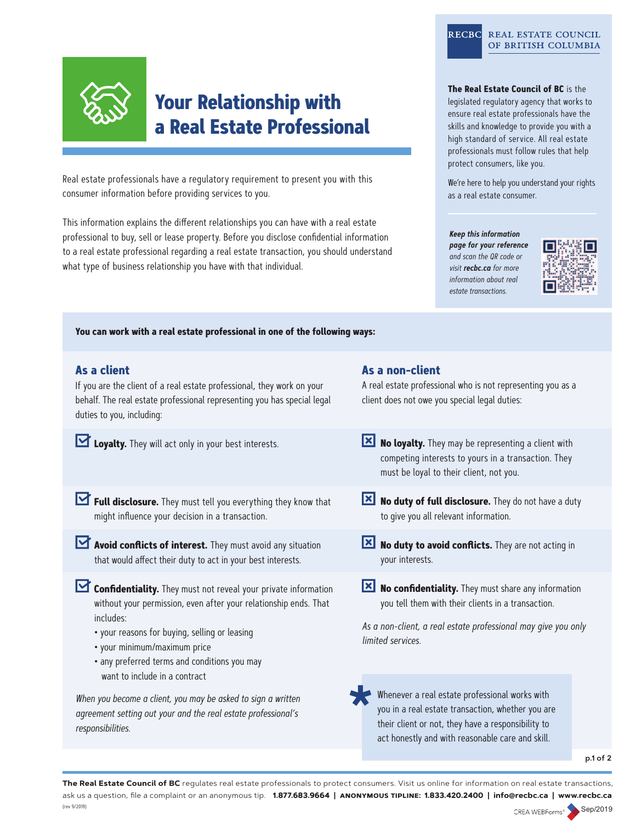

# **Your Relationship with a Real Estate Professional**

Real estate professionals have a regulatory requirement to present you with this consumer information before providing services to you.

This information explains the different relationships you can have with a real estate professional to buy, sell or lease property. Before you disclose confidential information to a real estate professional regarding a real estate transaction, you should understand what type of business relationship you have with that individual.

#### RECBC REAL ESTATE COUNCIL OF BRITISH COLUMBIA

#### **The Real Estate Council of BC** is the

legislated regulatory agency that works to ensure real estate professionals have the skills and knowledge to provide you with a high standard of service. All real estate professionals must follow rules that help protect consumers, like you.

We're here to help you understand your rights as a real estate consumer.

#### **Keep this information**

**page for your reference**  and scan the QR code or visit **recbc.ca** for more information about real estate transactions.



**You can work with a real estate professional in one of the following ways:**

## **As a client**

If you are the client of a real estate professional, they work on your behalf. The real estate professional representing you has special legal duties to you, including:

**Loyalty.** They will act only in your best interests.

**Full disclosure.** They must tell you everything they know that might influence your decision in a transaction.

**Avoid conflicts of interest.** They must avoid any situation that would affect their duty to act in your best interests.

- **Confidentiality.** They must not reveal your private information without your permission, even after your relationship ends. That includes:
	- your reasons for buying, selling or leasing
	- your minimum/maximum price
	- any preferred terms and conditions you may want to include in a contract

When you become a client, you may be asked to sign a written agreement setting out your and the real estate professional's responsibilities.

## **As a non-client**

A real estate professional who is not representing you as a client does not owe you special legal duties:

- **No loyalty.** They may be representing a client with competing interests to yours in a transaction. They must be loyal to their client, not you.
- **No duty of full disclosure.** They do not have a duty to give you all relevant information.
- **No duty to avoid conflicts.** They are not acting in your interests.

**No confidentiality.** They must share any information you tell them with their clients in a transaction.

As a non-client, a real estate professional may give you only limited services.

Whenever a real estate professional works with you in a real estate transaction, whether you are their client or not, they have a responsibility to act honestly and with reasonable care and skill.

**p.1 of 2**

**The Real Estate Council of BC** regulates real estate professionals to protect consumers. Visit us online for information on real estate transactions, ask us a question, file a complaint or an anonymous tip. **1.877.683.9664 | anonymous tipline: 1.833.420.2400 | info@recbc.ca | www.recbc.ca** (rev 9/2019)